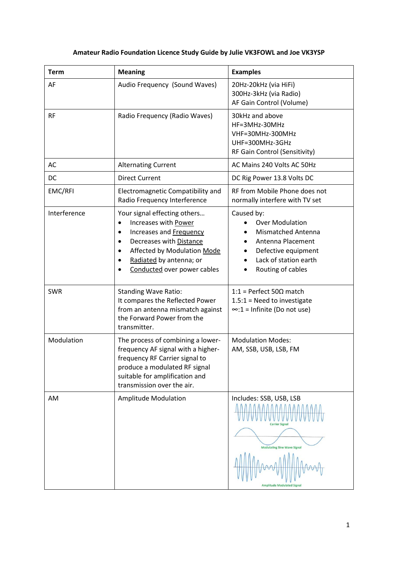## **Amateur Radio Foundation Licence Study Guide by Julie VK3FOWL and Joe VK3YSP**

| <b>Term</b>  | <b>Meaning</b>                                                                                                                                                                                                                                  | <b>Examples</b>                                                                                                                                             |
|--------------|-------------------------------------------------------------------------------------------------------------------------------------------------------------------------------------------------------------------------------------------------|-------------------------------------------------------------------------------------------------------------------------------------------------------------|
| AF           | Audio Frequency (Sound Waves)                                                                                                                                                                                                                   | 20Hz-20kHz (via HiFi)<br>300Hz-3kHz (via Radio)<br>AF Gain Control (Volume)                                                                                 |
| <b>RF</b>    | Radio Frequency (Radio Waves)                                                                                                                                                                                                                   | 30kHz and above<br>HF=3MHz-30MHz<br>VHF=30MHz-300MHz<br>UHF=300MHz-3GHz<br>RF Gain Control (Sensitivity)                                                    |
| AC           | <b>Alternating Current</b>                                                                                                                                                                                                                      | AC Mains 240 Volts AC 50Hz                                                                                                                                  |
| DC           | <b>Direct Current</b>                                                                                                                                                                                                                           | DC Rig Power 13.8 Volts DC                                                                                                                                  |
| EMC/RFI      | Electromagnetic Compatibility and<br>Radio Frequency Interference                                                                                                                                                                               | RF from Mobile Phone does not<br>normally interfere with TV set                                                                                             |
| Interference | Your signal effecting others<br>Increases with Power<br>$\bullet$<br>Increases and Frequency<br>٠<br>Decreases with Distance<br>$\bullet$<br>Affected by Modulation Mode<br>Radiated by antenna; or<br>$\bullet$<br>Conducted over power cables | Caused by:<br><b>Over Modulation</b><br><b>Mismatched Antenna</b><br>Antenna Placement<br>Defective equipment<br>Lack of station earth<br>Routing of cables |
| <b>SWR</b>   | <b>Standing Wave Ratio:</b><br>It compares the Reflected Power<br>from an antenna mismatch against<br>the Forward Power from the<br>transmitter.                                                                                                | 1:1 = Perfect 50 $\Omega$ match<br>$1.5:1$ = Need to investigate<br>$\infty$ :1 = Infinite (Do not use)                                                     |
| Modulation   | The process of combining a lower-<br>frequency AF signal with a higher-<br>frequency RF Carrier signal to<br>produce a modulated RF signal<br>suitable for amplification and<br>transmission over the air.                                      | <b>Modulation Modes:</b><br>AM, SSB, USB, LSB, FM                                                                                                           |
| AM           | <b>Amplitude Modulation</b>                                                                                                                                                                                                                     | Includes: SSB, USB, LSB<br><b>Carrier Signa</b><br><b>Modulating Sine Wave Signal</b><br><b>Amplitude Modulated Signa</b>                                   |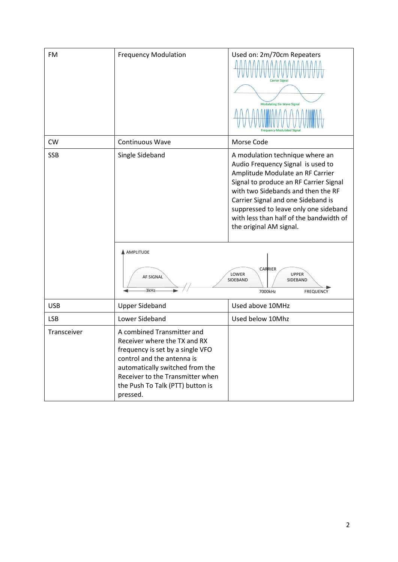| <b>FM</b>   | <b>Frequency Modulation</b>                                                                                                                                                                                                                         | Used on: 2m/70cm Repeaters<br><b>Carrier Signal</b><br><b>Modulating Sin Wave Signal</b>                                                                                                                                                                                                                                                                                                                                                 |
|-------------|-----------------------------------------------------------------------------------------------------------------------------------------------------------------------------------------------------------------------------------------------------|------------------------------------------------------------------------------------------------------------------------------------------------------------------------------------------------------------------------------------------------------------------------------------------------------------------------------------------------------------------------------------------------------------------------------------------|
| <b>CW</b>   | <b>Continuous Wave</b>                                                                                                                                                                                                                              | Morse Code                                                                                                                                                                                                                                                                                                                                                                                                                               |
| <b>SSB</b>  | Single Sideband<br>A AMPLITUDE<br><b>AF SIGNAL</b><br>3kHz                                                                                                                                                                                          | A modulation technique where an<br>Audio Frequency Signal is used to<br>Amplitude Modulate an RF Carrier<br>Signal to produce an RF Carrier Signal<br>with two Sidebands and then the RF<br>Carrier Signal and one Sideband is<br>suppressed to leave only one sideband<br>with less than half of the bandwidth of<br>the original AM signal.<br>CARRIER<br>LOWER<br><b>UPPER</b><br>SIDEBAND<br>SIDEBAND<br>7000kHz<br><b>FREQUENCY</b> |
| <b>USB</b>  | <b>Upper Sideband</b>                                                                                                                                                                                                                               | Used above 10MHz                                                                                                                                                                                                                                                                                                                                                                                                                         |
| <b>LSB</b>  | Lower Sideband                                                                                                                                                                                                                                      | Used below 10Mhz                                                                                                                                                                                                                                                                                                                                                                                                                         |
| Transceiver | A combined Transmitter and<br>Receiver where the TX and RX<br>frequency is set by a single VFO<br>control and the antenna is<br>automatically switched from the<br>Receiver to the Transmitter when<br>the Push To Talk (PTT) button is<br>pressed. |                                                                                                                                                                                                                                                                                                                                                                                                                                          |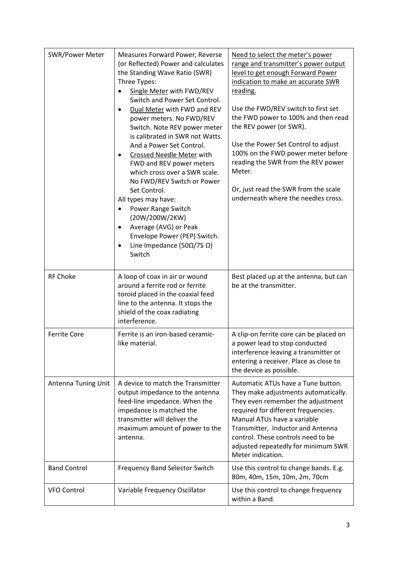| <b>SWR/Power Meter</b> | Measures Forward Power, Reverse<br>(or Reflected) Power and calculates<br>the Standing Wave Ratio (SWR)<br>Three Types:<br>Single Meter with FWD/REV<br>٠<br>Switch and Power Set Control.<br>Dual Meter with FWD and REV<br>$\bullet$<br>power meters. No FWD/REV<br>Switch. Note REV power meter<br>is calibrated in SWR not Watts.<br>And a Power Set Control.<br>Crossed Needle Meter with<br>FWD and REV power meters<br>which cross over a SWR scale.<br>No FWD/REV Switch or Power<br>Set Control.<br>All types may have:<br>Power Range Switch<br>(20W/200W/2KW)<br>Average (AVG) or Peak<br>$\bullet$<br>Envelope Power (PEP) Switch.<br>Line Impedance (50 $\Omega$ /75 $\Omega$ )<br>$\bullet$<br>Switch | Need to select the meter's power<br>range and transmitter's power output<br>level to get enough Forward Power<br>indication to make an accurate SWR<br>reading.<br>Use the FWD/REV switch to first set<br>the FWD power to 100% and then read<br>the REV power (or SWR).<br>Use the Power Set Control to adjust<br>100% on the FWD power meter before<br>reading the SWR from the REV power<br>Meter.<br>Or, just read the SWR from the scale<br>underneath where the needles cross. |
|------------------------|---------------------------------------------------------------------------------------------------------------------------------------------------------------------------------------------------------------------------------------------------------------------------------------------------------------------------------------------------------------------------------------------------------------------------------------------------------------------------------------------------------------------------------------------------------------------------------------------------------------------------------------------------------------------------------------------------------------------|--------------------------------------------------------------------------------------------------------------------------------------------------------------------------------------------------------------------------------------------------------------------------------------------------------------------------------------------------------------------------------------------------------------------------------------------------------------------------------------|
| <b>RF Choke</b>        | A loop of coax in air or wound<br>around a ferrite rod or ferrite<br>toroid placed in the coaxial feed<br>line to the antenna. It stops the<br>shield of the coax radiating<br>interference.                                                                                                                                                                                                                                                                                                                                                                                                                                                                                                                        | Best placed up at the antenna, but can<br>be at the transmitter.                                                                                                                                                                                                                                                                                                                                                                                                                     |
| <b>Ferrite Core</b>    | Ferrite is an iron-based ceramic-<br>like material.                                                                                                                                                                                                                                                                                                                                                                                                                                                                                                                                                                                                                                                                 | A clip-on ferrite core can be placed on<br>a power lead to stop conducted<br>interference leaving a transmitter or<br>entering a receiver. Place as close to<br>the device as possible.                                                                                                                                                                                                                                                                                              |
| Antenna Tuning Unit    | A device to match the Transmitter<br>output impedance to the antenna<br>feed-line impedance. When the<br>impedance is matched the<br>transmitter will deliver the<br>maximum amount of power to the<br>antenna.                                                                                                                                                                                                                                                                                                                                                                                                                                                                                                     | Automatic ATUs have a Tune button.<br>They make adjustments automatically.<br>They even remember the adjustment<br>required for different frequencies.<br>Manual ATUs have a variable<br>Transmitter, Inductor and Antenna<br>control. These controls need to be<br>adjusted repeatedly for minimum SWR<br>Meter indication.                                                                                                                                                         |
| <b>Band Control</b>    | <b>Frequency Band Selector Switch</b>                                                                                                                                                                                                                                                                                                                                                                                                                                                                                                                                                                                                                                                                               | Use this control to change bands. E.g.<br>80m, 40m, 15m, 10m, 2m, 70cm                                                                                                                                                                                                                                                                                                                                                                                                               |
| <b>VFO Control</b>     | Variable Frequency Oscillator                                                                                                                                                                                                                                                                                                                                                                                                                                                                                                                                                                                                                                                                                       | Use this control to change frequency<br>within a Band.                                                                                                                                                                                                                                                                                                                                                                                                                               |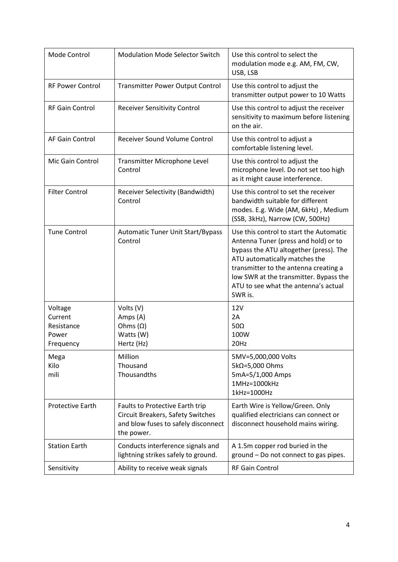| Mode Control                                           | <b>Modulation Mode Selector Switch</b>                                                                                    | Use this control to select the<br>modulation mode e.g. AM, FM, CW,<br>USB, LSB                                                                                                                                                                                                                   |
|--------------------------------------------------------|---------------------------------------------------------------------------------------------------------------------------|--------------------------------------------------------------------------------------------------------------------------------------------------------------------------------------------------------------------------------------------------------------------------------------------------|
| <b>RF Power Control</b>                                | <b>Transmitter Power Output Control</b>                                                                                   | Use this control to adjust the<br>transmitter output power to 10 Watts                                                                                                                                                                                                                           |
| <b>RF Gain Control</b>                                 | <b>Receiver Sensitivity Control</b>                                                                                       | Use this control to adjust the receiver<br>sensitivity to maximum before listening<br>on the air.                                                                                                                                                                                                |
| AF Gain Control                                        | Receiver Sound Volume Control                                                                                             | Use this control to adjust a<br>comfortable listening level.                                                                                                                                                                                                                                     |
| Mic Gain Control                                       | Transmitter Microphone Level<br>Control                                                                                   | Use this control to adjust the<br>microphone level. Do not set too high<br>as it might cause interference.                                                                                                                                                                                       |
| <b>Filter Control</b>                                  | Receiver Selectivity (Bandwidth)<br>Control                                                                               | Use this control to set the receiver<br>bandwidth suitable for different<br>modes. E.g. Wide (AM, 6kHz), Medium<br>(SSB, 3kHz), Narrow (CW, 500Hz)                                                                                                                                               |
| <b>Tune Control</b>                                    | <b>Automatic Tuner Unit Start/Bypass</b><br>Control                                                                       | Use this control to start the Automatic<br>Antenna Tuner (press and hold) or to<br>bypass the ATU altogether (press). The<br>ATU automatically matches the<br>transmitter to the antenna creating a<br>low SWR at the transmitter. Bypass the<br>ATU to see what the antenna's actual<br>SWR is. |
| Voltage<br>Current<br>Resistance<br>Power<br>Frequency | Volts (V)<br>Amps (A)<br>Ohms $(\Omega)$<br>Watts (W)<br>Hertz (Hz)                                                       | 12V<br>2A<br>50 $\Omega$<br>100W<br>20Hz                                                                                                                                                                                                                                                         |
| Mega<br>Kilo<br>mili                                   | Million<br>Thousand<br>Thousandths                                                                                        | 5MV=5,000,000 Volts<br>5kΩ=5,000 Ohms<br>5mA=5/1,000 Amps<br>1MHz=1000kHz<br>1kHz=1000Hz                                                                                                                                                                                                         |
| <b>Protective Earth</b>                                | Faults to Protective Earth trip<br>Circuit Breakers, Safety Switches<br>and blow fuses to safely disconnect<br>the power. | Earth Wire is Yellow/Green. Only<br>qualified electricians can connect or<br>disconnect household mains wiring.                                                                                                                                                                                  |
| <b>Station Earth</b>                                   | Conducts interference signals and<br>lightning strikes safely to ground.                                                  | A 1.5m copper rod buried in the<br>ground - Do not connect to gas pipes.                                                                                                                                                                                                                         |
| Sensitivity                                            | Ability to receive weak signals                                                                                           | RF Gain Control                                                                                                                                                                                                                                                                                  |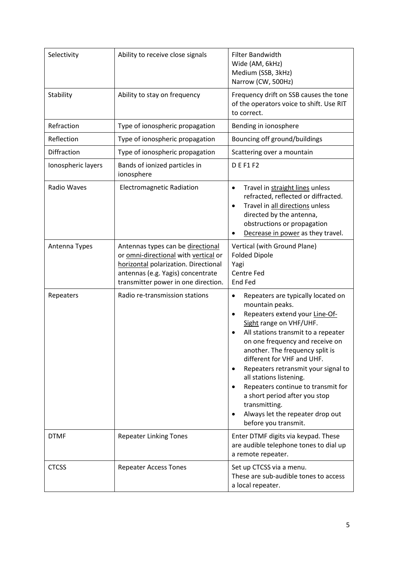| Selectivity        | Ability to receive close signals                                                                                                                                                              | <b>Filter Bandwidth</b><br>Wide (AM, 6kHz)<br>Medium (SSB, 3kHz)<br>Narrow (CW, 500Hz)                                                                                                                                                                                                                                                                                                                                                                                                                |
|--------------------|-----------------------------------------------------------------------------------------------------------------------------------------------------------------------------------------------|-------------------------------------------------------------------------------------------------------------------------------------------------------------------------------------------------------------------------------------------------------------------------------------------------------------------------------------------------------------------------------------------------------------------------------------------------------------------------------------------------------|
| Stability          | Ability to stay on frequency                                                                                                                                                                  | Frequency drift on SSB causes the tone<br>of the operators voice to shift. Use RIT<br>to correct.                                                                                                                                                                                                                                                                                                                                                                                                     |
| Refraction         | Type of ionospheric propagation                                                                                                                                                               | Bending in ionosphere                                                                                                                                                                                                                                                                                                                                                                                                                                                                                 |
| Reflection         | Type of ionospheric propagation                                                                                                                                                               | Bouncing off ground/buildings                                                                                                                                                                                                                                                                                                                                                                                                                                                                         |
| Diffraction        | Type of ionospheric propagation                                                                                                                                                               | Scattering over a mountain                                                                                                                                                                                                                                                                                                                                                                                                                                                                            |
| Ionospheric layers | Bands of ionized particles in<br>ionosphere                                                                                                                                                   | <b>DEF1F2</b>                                                                                                                                                                                                                                                                                                                                                                                                                                                                                         |
| Radio Waves        | <b>Electromagnetic Radiation</b>                                                                                                                                                              | Travel in straight lines unless<br>٠<br>refracted, reflected or diffracted.<br>Travel in all directions unless<br>$\bullet$<br>directed by the antenna,<br>obstructions or propagation<br>Decrease in power as they travel.                                                                                                                                                                                                                                                                           |
| Antenna Types      | Antennas types can be directional<br>or omni-directional with vertical or<br>horizontal polarization. Directional<br>antennas (e.g. Yagis) concentrate<br>transmitter power in one direction. | Vertical (with Ground Plane)<br><b>Folded Dipole</b><br>Yagi<br>Centre Fed<br>End Fed                                                                                                                                                                                                                                                                                                                                                                                                                 |
| Repeaters          | Radio re-transmission stations                                                                                                                                                                | Repeaters are typically located on<br>٠<br>mountain peaks.<br>Repeaters extend your Line-Of-<br>$\bullet$<br>Sight range on VHF/UHF.<br>All stations transmit to a repeater<br>on one frequency and receive on<br>another. The frequency split is<br>different for VHF and UHF.<br>Repeaters retransmit your signal to<br>all stations listening.<br>Repeaters continue to transmit for<br>a short period after you stop<br>transmitting.<br>Always let the repeater drop out<br>before you transmit. |
| <b>DTMF</b>        | <b>Repeater Linking Tones</b>                                                                                                                                                                 | Enter DTMF digits via keypad. These<br>are audible telephone tones to dial up<br>a remote repeater.                                                                                                                                                                                                                                                                                                                                                                                                   |
| <b>CTCSS</b>       | <b>Repeater Access Tones</b>                                                                                                                                                                  | Set up CTCSS via a menu.<br>These are sub-audible tones to access<br>a local repeater.                                                                                                                                                                                                                                                                                                                                                                                                                |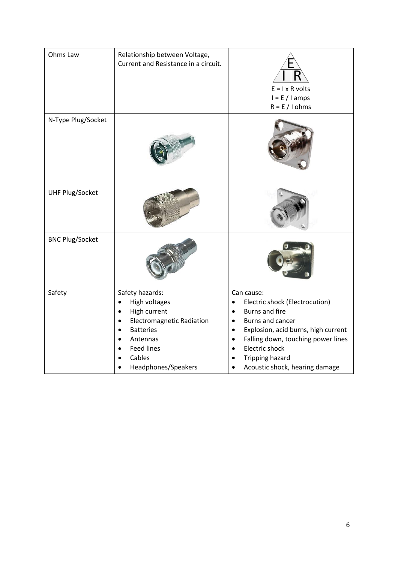| Ohms Law               | Relationship between Voltage,<br>Current and Resistance in a circuit.                                                                                                      | $E = I \times R$ volts<br>$I = E / I$ amps<br>$R = E / I ohms$                                                                                                                                                                                                                                                        |
|------------------------|----------------------------------------------------------------------------------------------------------------------------------------------------------------------------|-----------------------------------------------------------------------------------------------------------------------------------------------------------------------------------------------------------------------------------------------------------------------------------------------------------------------|
| N-Type Plug/Socket     |                                                                                                                                                                            |                                                                                                                                                                                                                                                                                                                       |
| <b>UHF Plug/Socket</b> |                                                                                                                                                                            |                                                                                                                                                                                                                                                                                                                       |
| <b>BNC Plug/Socket</b> |                                                                                                                                                                            |                                                                                                                                                                                                                                                                                                                       |
| Safety                 | Safety hazards:<br>High voltages<br>High current<br><b>Electromagnetic Radiation</b><br><b>Batteries</b><br>Antennas<br><b>Feed lines</b><br>Cables<br>Headphones/Speakers | Can cause:<br>Electric shock (Electrocution)<br>$\bullet$<br><b>Burns and fire</b><br>$\bullet$<br>Burns and cancer<br>$\bullet$<br>Explosion, acid burns, high current<br>$\bullet$<br>Falling down, touching power lines<br>$\bullet$<br><b>Electric shock</b><br>Tripping hazard<br>Acoustic shock, hearing damage |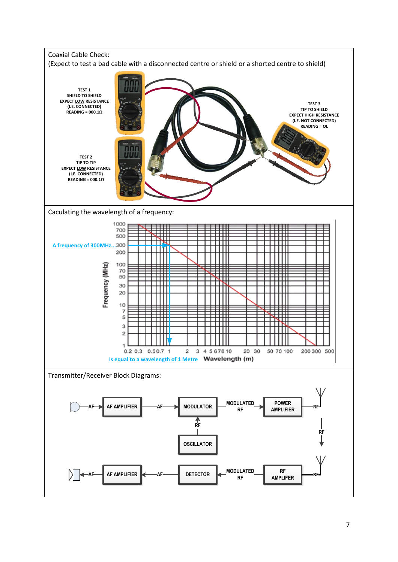